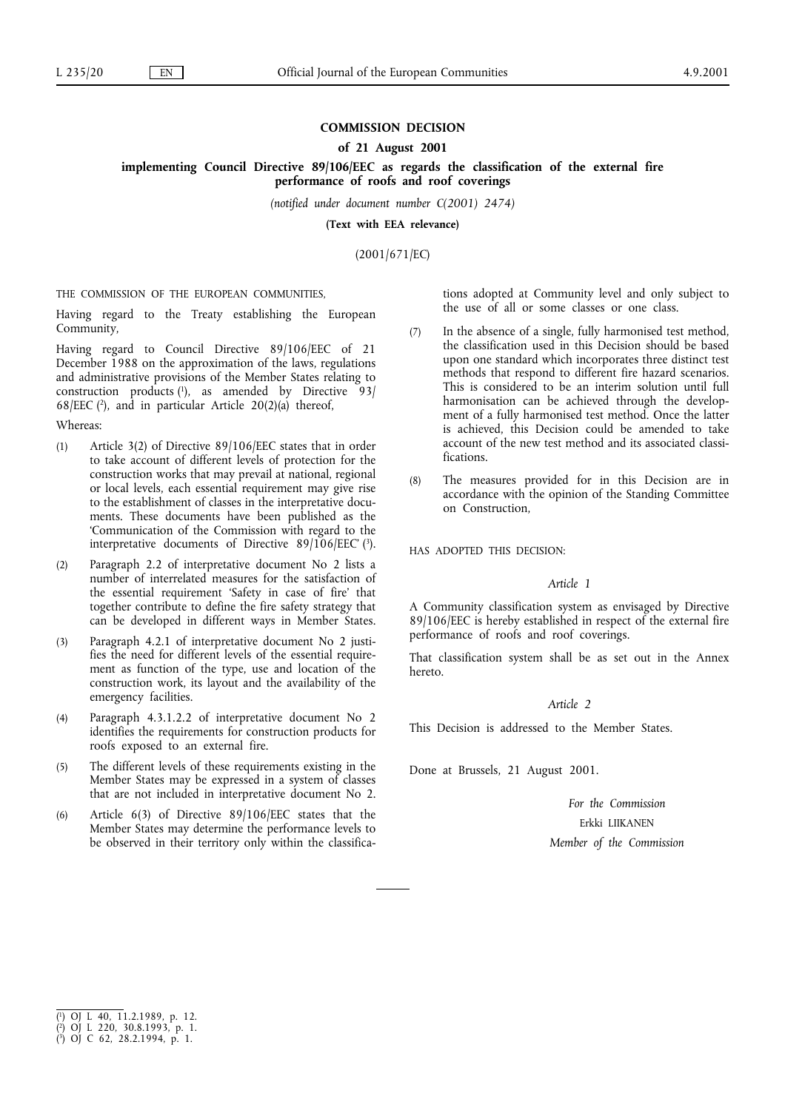# **COMMISSION DECISION**

### **of 21 August 2001**

**implementing Council Directive 89/106/EEC as regards the classification of the external fire performance of roofs and roof coverings**

*(notified under document number C(2001) 2474)*

**(Text with EEA relevance)**

(2001/671/EC)

THE COMMISSION OF THE EUROPEAN COMMUNITIES,

Having regard to the Treaty establishing the European Community,

Having regard to Council Directive 89/106/EEC of 21 December 1988 on the approximation of the laws, regulations and administrative provisions of the Member States relating to construction products  $(1)$ , as amended by Directive 93/ 68/EEC ( $2$ ), and in particular Article 20(2)(a) thereof,

### Whereas:

- (1) Article 3(2) of Directive 89/106/EEC states that in order to take account of different levels of protection for the construction works that may prevail at national, regional or local levels, each essential requirement may give rise to the establishment of classes in the interpretative documents. These documents have been published as the 'Communication of the Commission with regard to the interpretative documents of Directive 89/106/EEC' (3).
- (2) Paragraph 2.2 of interpretative document No 2 lists a number of interrelated measures for the satisfaction of the essential requirement 'Safety in case of fire' that together contribute to define the fire safety strategy that can be developed in different ways in Member States.
- (3) Paragraph 4.2.1 of interpretative document No 2 justifies the need for different levels of the essential requirement as function of the type, use and location of the construction work, its layout and the availability of the emergency facilities.
- (4) Paragraph 4.3.1.2.2 of interpretative document No 2 identifies the requirements for construction products for roofs exposed to an external fire.
- (5) The different levels of these requirements existing in the Member States may be expressed in a system of classes that are not included in interpretative document No 2.
- (6) Article 6(3) of Directive 89/106/EEC states that the Member States may determine the performance levels to be observed in their territory only within the classifica-

tions adopted at Community level and only subject to the use of all or some classes or one class.

- (7) In the absence of a single, fully harmonised test method, the classification used in this Decision should be based upon one standard which incorporates three distinct test methods that respond to different fire hazard scenarios. This is considered to be an interim solution until full harmonisation can be achieved through the development of a fully harmonised test method. Once the latter is achieved, this Decision could be amended to take account of the new test method and its associated classifications.
- (8) The measures provided for in this Decision are in accordance with the opinion of the Standing Committee on Construction,

HAS ADOPTED THIS DECISION:

### *Article 1*

A Community classification system as envisaged by Directive 89/106/EEC is hereby established in respect of the external fire performance of roofs and roof coverings.

That classification system shall be as set out in the Annex hereto.

## *Article 2*

This Decision is addressed to the Member States.

Done at Brussels, 21 August 2001.

*For the Commission* Erkki LIIKANEN *Member of the Commission*

( 3) OJ C 62, 28.2.1994, p. 1.

<sup>(</sup> 1) OJ L 40, 11.2.1989, p. 12.

<sup>(</sup> 2) OJ L 220, 30.8.1993, p. 1.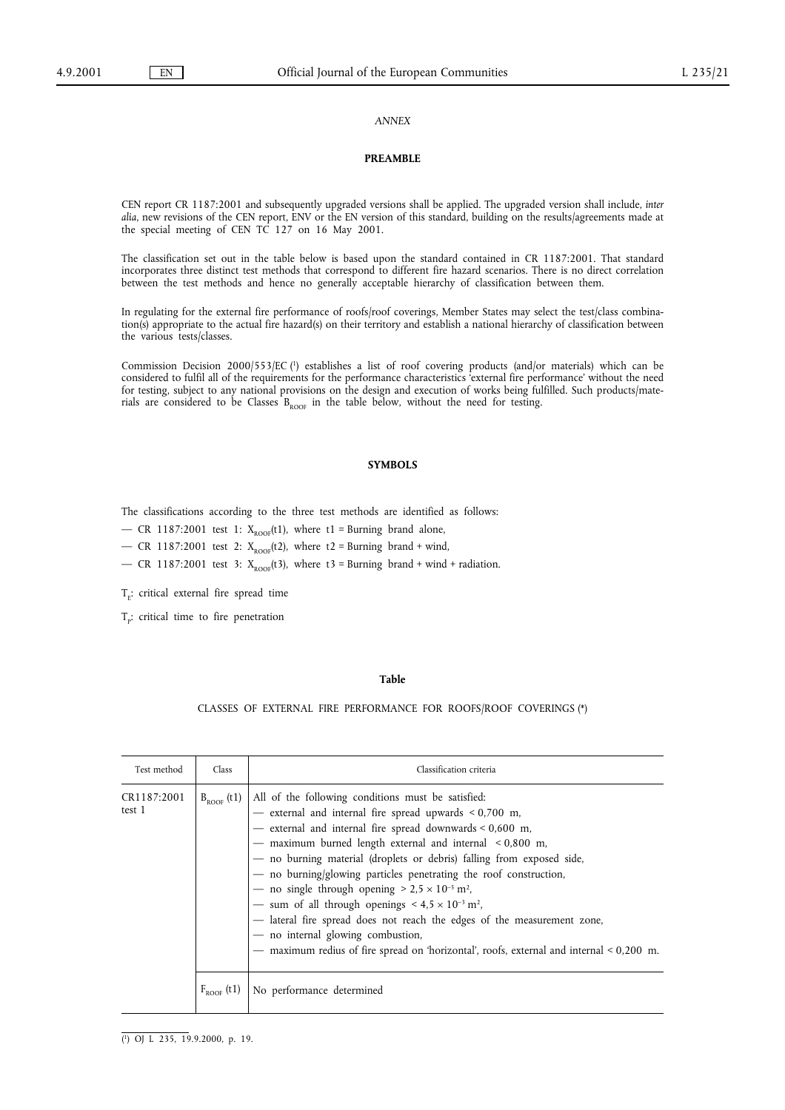### *ANNEX*

#### **PREAMBLE**

CEN report CR 1187:2001 and subsequently upgraded versions shall be applied. The upgraded version shall include, *inter alia*, new revisions of the CEN report, ENV or the EN version of this standard, building on the results/agreements made at the special meeting of CEN TC 127 on 16 May 2001.

The classification set out in the table below is based upon the standard contained in CR 1187:2001. That standard incorporates three distinct test methods that correspond to different fire hazard scenarios. There is no direct correlation between the test methods and hence no generally acceptable hierarchy of classification between them.

In regulating for the external fire performance of roofs/roof coverings, Member States may select the test/class combination(s) appropriate to the actual fire hazard(s) on their territory and establish a national hierarchy of classification between the various tests/classes.

Commission Decision 2000/553/EC (1) establishes a list of roof covering products (and/or materials) which can be considered to fulfil all of the requirements for the performance characteristics 'external fire performance' without the need for testing, subject to any national provisions on the design and execution of works being fulfilled. Such products/materials are considered to be Classes  $B_{ROOF}$  in the table below, without the need for testing.

#### **SYMBOLS**

The classifications according to the three test methods are identified as follows:

— CR 1187:2001 test 1:  $X_{\text{ROOF}}(t1)$ , where t1 = Burning brand alone,

— CR 1187:2001 test 2:  $X_{\text{ROOF}}(t)$ , where t2 = Burning brand + wind,

— CR 1187:2001 test 3:  $X_{\text{ROOF}}(t3)$ , where  $t3 =$  Burning brand + wind + radiation.

 $T_{E}$ : critical external fire spread time

 $T_p$ : critical time to fire penetration

#### **Table**

### CLASSES OF EXTERNAL FIRE PERFORMANCE FOR ROOFS/ROOF COVERINGS (\*)

| Test method           | Class           | Classification criteria                                                                                                                                                                                                                                                                                                                                                                                                                                                                                                                                                                                                                                                                                                                                                 |
|-----------------------|-----------------|-------------------------------------------------------------------------------------------------------------------------------------------------------------------------------------------------------------------------------------------------------------------------------------------------------------------------------------------------------------------------------------------------------------------------------------------------------------------------------------------------------------------------------------------------------------------------------------------------------------------------------------------------------------------------------------------------------------------------------------------------------------------------|
| CR1187:2001<br>test 1 |                 | $B_{ROOF}$ (t1)   All of the following conditions must be satisfied:<br>- external and internal fire spread upwards $< 0.700$ m,<br>- external and internal fire spread downwards $< 0.600$ m,<br>- maximum burned length external and internal < 0,800 m,<br>- no burning material (droplets or debris) falling from exposed side,<br>- no burning/glowing particles penetrating the roof construction,<br>— no single through opening $> 2.5 \times 10^{-5}$ m <sup>2</sup> ,<br>- sum of all through openings $\leq 4.5 \times 10^{-3}$ m <sup>2</sup> ,<br>- lateral fire spread does not reach the edges of the measurement zone,<br>- no internal glowing combustion,<br>- maximum redius of fire spread on 'horizontal', roofs, external and internal < 0,200 m. |
|                       | $F_{ROOF}$ (t1) | No performance determined                                                                                                                                                                                                                                                                                                                                                                                                                                                                                                                                                                                                                                                                                                                                               |